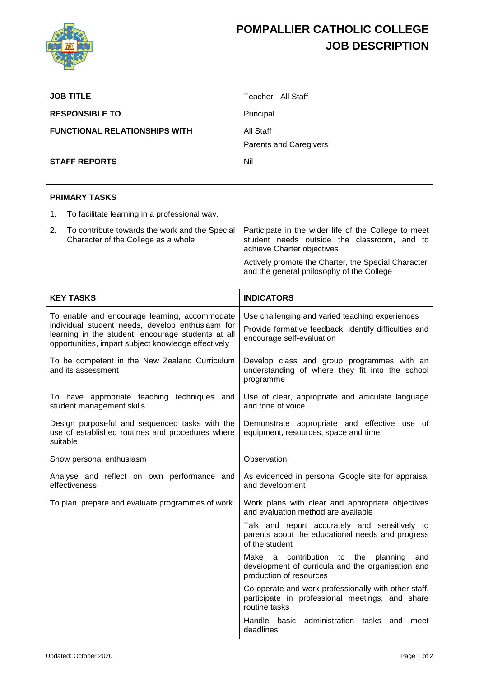

## **POMPALLIER CATHOLIC COLLEGE JOB DESCRIPTION**

Talk and report accurately and sensitively to parents about the educational needs and progress

Make a contribution to the planning and development of curricula and the organisation and

Co-operate and work professionally with other staff, participate in professional meetings, and share

Handle basic administration tasks and meet

of the student

routine tasks

deadlines

production of resources

| <b>JOB TITLE</b>                                                                                                                                                                                               |                                                                                       | Teacher - All Staff                                                                                                                   |  |  |  |  |
|----------------------------------------------------------------------------------------------------------------------------------------------------------------------------------------------------------------|---------------------------------------------------------------------------------------|---------------------------------------------------------------------------------------------------------------------------------------|--|--|--|--|
| <b>RESPONSIBLE TO</b>                                                                                                                                                                                          |                                                                                       | Principal                                                                                                                             |  |  |  |  |
| <b>FUNCTIONAL RELATIONSHIPS WITH</b>                                                                                                                                                                           |                                                                                       | All Staff                                                                                                                             |  |  |  |  |
|                                                                                                                                                                                                                |                                                                                       | <b>Parents and Caregivers</b>                                                                                                         |  |  |  |  |
| <b>STAFF REPORTS</b>                                                                                                                                                                                           |                                                                                       | Nil                                                                                                                                   |  |  |  |  |
|                                                                                                                                                                                                                |                                                                                       |                                                                                                                                       |  |  |  |  |
|                                                                                                                                                                                                                | <b>PRIMARY TASKS</b>                                                                  |                                                                                                                                       |  |  |  |  |
| 1.                                                                                                                                                                                                             | To facilitate learning in a professional way.                                         |                                                                                                                                       |  |  |  |  |
| 2.                                                                                                                                                                                                             | To contribute towards the work and the Special<br>Character of the College as a whole | Participate in the wider life of the College to meet<br>student needs outside the classroom, and to<br>achieve Charter objectives     |  |  |  |  |
|                                                                                                                                                                                                                |                                                                                       | Actively promote the Charter, the Special Character<br>and the general philosophy of the College                                      |  |  |  |  |
| <b>KEY TASKS</b>                                                                                                                                                                                               |                                                                                       | <b>INDICATORS</b>                                                                                                                     |  |  |  |  |
| To enable and encourage learning, accommodate<br>individual student needs, develop enthusiasm for<br>learning in the student, encourage students at all<br>opportunities, impart subject knowledge effectively |                                                                                       | Use challenging and varied teaching experiences<br>Provide formative feedback, identify difficulties and<br>encourage self-evaluation |  |  |  |  |
| To be competent in the New Zealand Curriculum<br>and its assessment                                                                                                                                            |                                                                                       | Develop class and group programmes with an<br>understanding of where they fit into the school<br>programme                            |  |  |  |  |
| To have appropriate teaching techniques and<br>student management skills                                                                                                                                       |                                                                                       | Use of clear, appropriate and articulate language<br>and tone of voice                                                                |  |  |  |  |
| Design purposeful and sequenced tasks with the<br>use of established routines and procedures where<br>suitable                                                                                                 |                                                                                       | Demonstrate appropriate and effective use of<br>equipment, resources, space and time                                                  |  |  |  |  |
| Show personal enthusiasm                                                                                                                                                                                       |                                                                                       | Observation                                                                                                                           |  |  |  |  |
| Analyse and reflect on own performance and<br>effectiveness                                                                                                                                                    |                                                                                       | As evidenced in personal Google site for appraisal<br>and development                                                                 |  |  |  |  |
| To plan, prepare and evaluate programmes of work                                                                                                                                                               |                                                                                       | Work plans with clear and appropriate objectives<br>and evaluation method are available                                               |  |  |  |  |